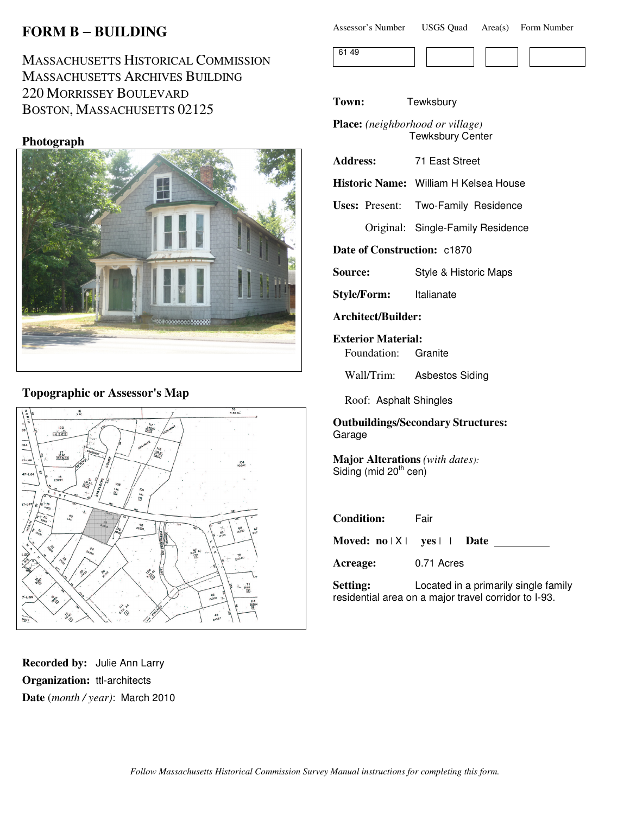# **FORM B** − **BUILDING**

# MASSACHUSETTS HISTORICAL COMMISSION MASSACHUSETTS ARCHIVES BUILDING 220 MORRISSEY BOULEVARD BOSTON, MASSACHUSETTS 02125

#### **Photograph**



### **Topographic or Assessor's Map**



**Recorded by:** Julie Ann Larry **Organization:** ttl-architects **Date** (*month / year)*: March 2010

| Assessor's Number | <b>USGS Quad</b> | Area(s) | Form Number |
|-------------------|------------------|---------|-------------|
|-------------------|------------------|---------|-------------|



**Town:** Tewksbury

**Place:** *(neighborhood or village)* Tewksbury Center

**Address:** 71 East Street

**Historic Name:** William H Kelsea House

**Uses:** Present: Two-Family Residence

Original: Single-Family Residence

**Date of Construction:** c1870

**Source:** Style & Historic Maps

**Style/Form:** Italianate

**Architect/Builder:**

**Exterior Material:** Foundation: Granite

Wall/Trim: Asbestos Siding

Roof: Asphalt Shingles

**Outbuildings/Secondary Structures:** Garage

**Major Alterations** *(with dates):* Siding (mid  $20<sup>th</sup>$  cen)

| <b>Condition:</b> | Fair                                 |  |
|-------------------|--------------------------------------|--|
|                   | Moved: $no X $ yes     Date          |  |
| Acreage:          | 0.71 Acres                           |  |
| <b>Setting:</b>   | Located in a primarily single family |  |

residential area on a major travel corridor to I-93.